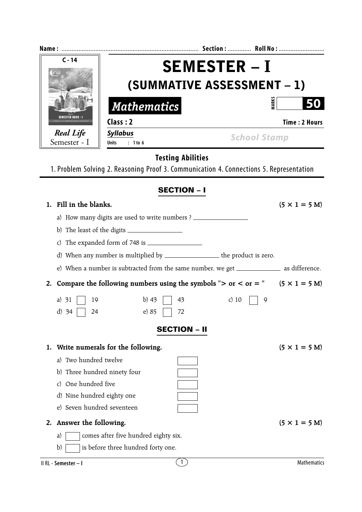| $C - 14$                         | <b>SEMESTER - I</b>                            |                                                                                             |                              |  |  |
|----------------------------------|------------------------------------------------|---------------------------------------------------------------------------------------------|------------------------------|--|--|
|                                  | (SUMMATIVE ASSESSMENT - 1)                     |                                                                                             |                              |  |  |
| <b>SEMESTER BOOK - I</b>         | <b>Mathematics</b>                             | <b>MARKS</b>                                                                                |                              |  |  |
|                                  | Class: 2                                       |                                                                                             | <b>Time: 2 Hours</b>         |  |  |
| <b>Real Life</b><br>Semester - I | <b>Syllabus</b><br>: 1 to 6<br><b>Units</b>    | <b>School Stamp</b>                                                                         |                              |  |  |
|                                  | <b>Testing Abilities</b>                       |                                                                                             |                              |  |  |
|                                  |                                                | 1. Problem Solving 2. Reasoning Proof 3. Communication 4. Connections 5. Representation     |                              |  |  |
|                                  | <b>SECTION - I</b>                             |                                                                                             |                              |  |  |
| 1. Fill in the blanks.           |                                                |                                                                                             | $(5 \times 1 = 5 M)$         |  |  |
|                                  | a) How many digits are used to write numbers ? |                                                                                             |                              |  |  |
|                                  |                                                |                                                                                             |                              |  |  |
| C)                               |                                                |                                                                                             |                              |  |  |
|                                  |                                                | d) When any number is multiplied by ___________________ the product is zero.                |                              |  |  |
|                                  |                                                | e) When a number is subtracted from the same number, we get ______________ as difference.   |                              |  |  |
| 2.                               |                                                | Compare the following numbers using the symbols "> or < or = " $(5 \times 1 = 5 \text{ M})$ |                              |  |  |
| a) $31$<br>19                    | $b)$ 43<br>43                                  | c) $10$<br>9                                                                                |                              |  |  |
| $d)$ 34<br>24                    | e) 85<br>72                                    |                                                                                             |                              |  |  |
|                                  | <b>SECTION – II</b>                            |                                                                                             |                              |  |  |
| 1.                               | Write numerals for the following.              |                                                                                             | $(5 \times 1 = 5 \text{ M})$ |  |  |
| a) Two hundred twelve            |                                                |                                                                                             |                              |  |  |
| b) Three hundred ninety four     |                                                |                                                                                             |                              |  |  |
| One hundred five<br>C)           |                                                |                                                                                             |                              |  |  |
| d) Nine hundred eighty one       |                                                |                                                                                             |                              |  |  |
| e) Seven hundred seventeen       |                                                |                                                                                             |                              |  |  |
| Answer the following.<br>2.      |                                                |                                                                                             | $(5 \times 1 = 5 M)$         |  |  |
| a)                               | comes after five hundred eighty six.           |                                                                                             |                              |  |  |
| b)                               | is before three hundred forty one.             |                                                                                             |                              |  |  |
| II RL - Semester - I             | $\mathbf{1}$                                   |                                                                                             | <b>Mathematics</b>           |  |  |